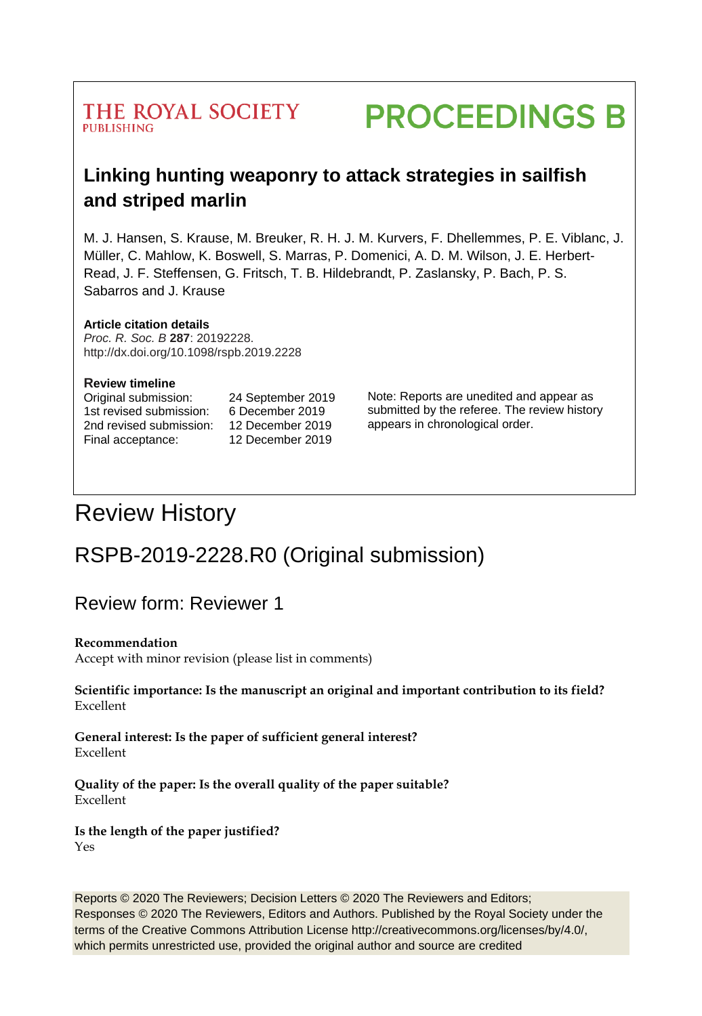### THE ROYAL SOCIETY **PUBLISHING**

# **PROCEEDINGS B**

# **Linking hunting weaponry to attack strategies in sailfish and striped marlin**

M. J. Hansen, S. Krause, M. Breuker, R. H. J. M. Kurvers, F. Dhellemmes, P. E. Viblanc, J. Müller, C. Mahlow, K. Boswell, S. Marras, P. Domenici, A. D. M. Wilson, J. E. Herbert-Read, J. F. Steffensen, G. Fritsch, T. B. Hildebrandt, P. Zaslansky, P. Bach, P. S. Sabarros and J. Krause

#### **Article citation details**

*Proc. R. Soc. B* **287**: 20192228. http://dx.doi.org/10.1098/rspb.2019.2228

#### **Review timeline**

Original submission: 24 September 2019 1st revised submission: 6 December 2019 2nd revised submission: 12 December 2019 Final acceptance: 12 December 2019

Note: Reports are unedited and appear as submitted by the referee. The review history appears in chronological order.

# Review History

# RSPB-2019-2228.R0 (Original submission)

Review form: Reviewer 1

#### **Recommendation**

Accept with minor revision (please list in comments)

**Scientific importance: Is the manuscript an original and important contribution to its field?**  Excellent

**General interest: Is the paper of sufficient general interest?**  Excellent

**Quality of the paper: Is the overall quality of the paper suitable?**  Excellent

**Is the length of the paper justified?**  Yes

Reports © 2020 The Reviewers; Decision Letters © 2020 The Reviewers and Editors; Responses © 2020 The Reviewers, Editors and Authors. Published by the Royal Society under the terms of the Creative Commons Attribution License http://creativecommons.org/licenses/by/4.0/, which permits unrestricted use, provided the original author and source are credited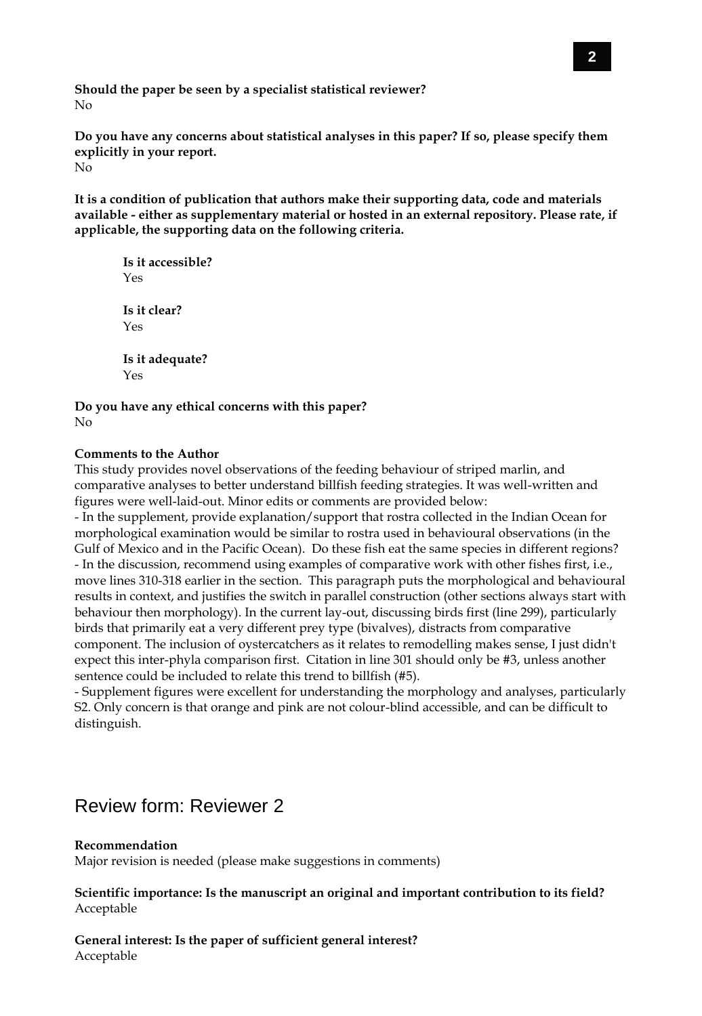**Should the paper be seen by a specialist statistical reviewer?**  No

**Do you have any concerns about statistical analyses in this paper? If so, please specify them explicitly in your report.**  $N_{\Omega}$ 

**It is a condition of publication that authors make their supporting data, code and materials available - either as supplementary material or hosted in an external repository. Please rate, if applicable, the supporting data on the following criteria.**

```
Is it accessible?
Yes
Is it clear? 
Yes
Is it adequate? 
Yes
```
**Do you have any ethical concerns with this paper?** No

#### **Comments to the Author**

This study provides novel observations of the feeding behaviour of striped marlin, and comparative analyses to better understand billfish feeding strategies. It was well-written and figures were well-laid-out. Minor edits or comments are provided below:

- In the supplement, provide explanation/support that rostra collected in the Indian Ocean for morphological examination would be similar to rostra used in behavioural observations (in the Gulf of Mexico and in the Pacific Ocean). Do these fish eat the same species in different regions? - In the discussion, recommend using examples of comparative work with other fishes first, i.e., move lines 310-318 earlier in the section. This paragraph puts the morphological and behavioural results in context, and justifies the switch in parallel construction (other sections always start with behaviour then morphology). In the current lay-out, discussing birds first (line 299), particularly birds that primarily eat a very different prey type (bivalves), distracts from comparative component. The inclusion of oystercatchers as it relates to remodelling makes sense, I just didn't expect this inter-phyla comparison first. Citation in line 301 should only be #3, unless another sentence could be included to relate this trend to billfish (#5).

- Supplement figures were excellent for understanding the morphology and analyses, particularly S2. Only concern is that orange and pink are not colour-blind accessible, and can be difficult to distinguish.

### Review form: Reviewer 2

#### **Recommendation**

Major revision is needed (please make suggestions in comments)

**Scientific importance: Is the manuscript an original and important contribution to its field?** Acceptable

**General interest: Is the paper of sufficient general interest?** Acceptable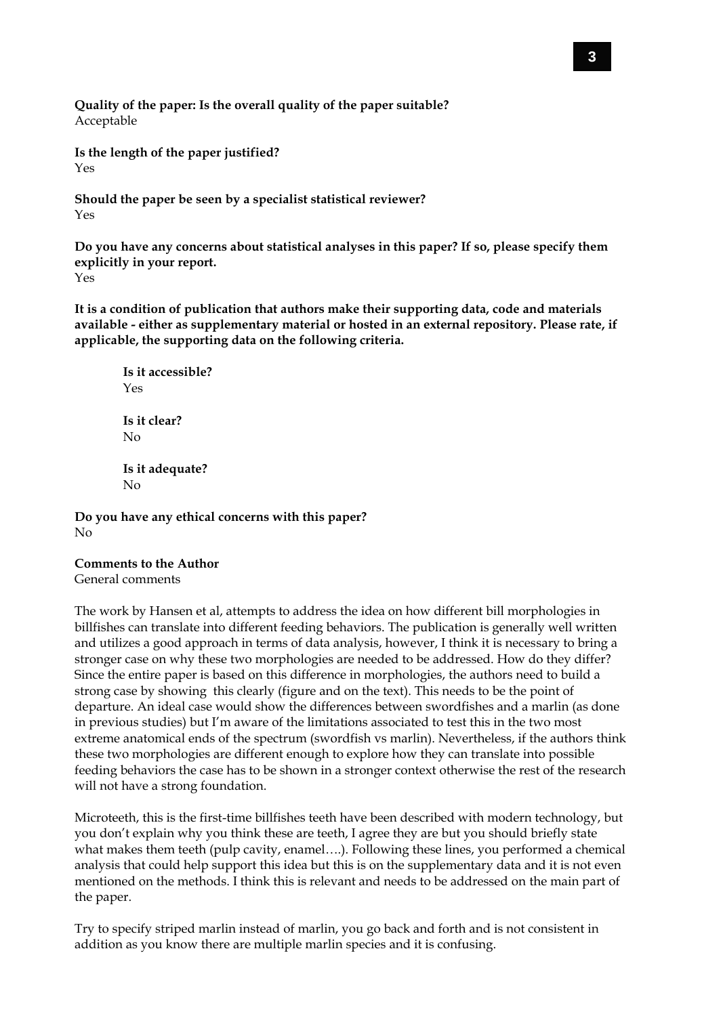**Quality of the paper: Is the overall quality of the paper suitable?** Acceptable

**Is the length of the paper justified?**  Yes

**Should the paper be seen by a specialist statistical reviewer?**  Yes

**Do you have any concerns about statistical analyses in this paper? If so, please specify them explicitly in your report.** Yes

**It is a condition of publication that authors make their supporting data, code and materials available - either as supplementary material or hosted in an external repository. Please rate, if applicable, the supporting data on the following criteria.**

**Is it accessible?** Yes **Is it clear?**  No **Is it adequate?**  No

**Do you have any ethical concerns with this paper?** No

#### **Comments to the Author**

General comments

The work by Hansen et al, attempts to address the idea on how different bill morphologies in billfishes can translate into different feeding behaviors. The publication is generally well written and utilizes a good approach in terms of data analysis, however, I think it is necessary to bring a stronger case on why these two morphologies are needed to be addressed. How do they differ? Since the entire paper is based on this difference in morphologies, the authors need to build a strong case by showing this clearly (figure and on the text). This needs to be the point of departure. An ideal case would show the differences between swordfishes and a marlin (as done in previous studies) but I'm aware of the limitations associated to test this in the two most extreme anatomical ends of the spectrum (swordfish vs marlin). Nevertheless, if the authors think these two morphologies are different enough to explore how they can translate into possible feeding behaviors the case has to be shown in a stronger context otherwise the rest of the research will not have a strong foundation.

Microteeth, this is the first-time billfishes teeth have been described with modern technology, but you don't explain why you think these are teeth, I agree they are but you should briefly state what makes them teeth (pulp cavity, enamel….). Following these lines, you performed a chemical analysis that could help support this idea but this is on the supplementary data and it is not even mentioned on the methods. I think this is relevant and needs to be addressed on the main part of the paper.

Try to specify striped marlin instead of marlin, you go back and forth and is not consistent in addition as you know there are multiple marlin species and it is confusing.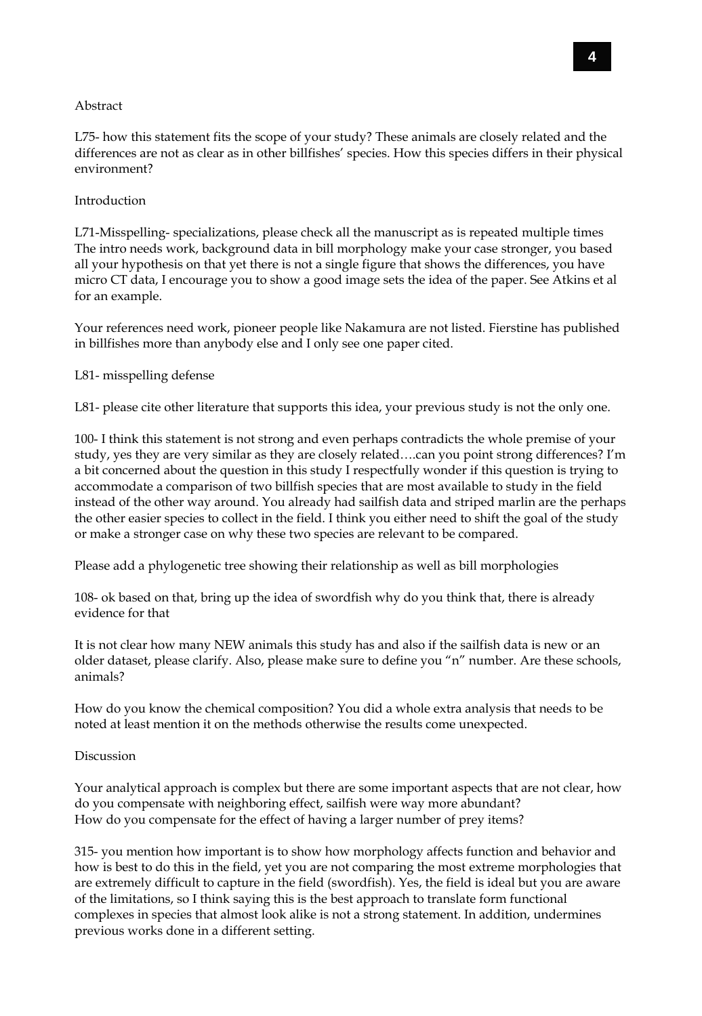#### Abstract

L75- how this statement fits the scope of your study? These animals are closely related and the differences are not as clear as in other billfishes' species. How this species differs in their physical environment?

#### Introduction

L71-Misspelling- specializations, please check all the manuscript as is repeated multiple times The intro needs work, background data in bill morphology make your case stronger, you based all your hypothesis on that yet there is not a single figure that shows the differences, you have micro CT data, I encourage you to show a good image sets the idea of the paper. See Atkins et al for an example.

Your references need work, pioneer people like Nakamura are not listed. Fierstine has published in billfishes more than anybody else and I only see one paper cited.

#### L81- misspelling defense

L81- please cite other literature that supports this idea, your previous study is not the only one.

100- I think this statement is not strong and even perhaps contradicts the whole premise of your study, yes they are very similar as they are closely related….can you point strong differences? I'm a bit concerned about the question in this study I respectfully wonder if this question is trying to accommodate a comparison of two billfish species that are most available to study in the field instead of the other way around. You already had sailfish data and striped marlin are the perhaps the other easier species to collect in the field. I think you either need to shift the goal of the study or make a stronger case on why these two species are relevant to be compared.

Please add a phylogenetic tree showing their relationship as well as bill morphologies

108- ok based on that, bring up the idea of swordfish why do you think that, there is already evidence for that

It is not clear how many NEW animals this study has and also if the sailfish data is new or an older dataset, please clarify. Also, please make sure to define you "n" number. Are these schools, animals?

How do you know the chemical composition? You did a whole extra analysis that needs to be noted at least mention it on the methods otherwise the results come unexpected.

#### **Discussion**

Your analytical approach is complex but there are some important aspects that are not clear, how do you compensate with neighboring effect, sailfish were way more abundant? How do you compensate for the effect of having a larger number of prey items?

315- you mention how important is to show how morphology affects function and behavior and how is best to do this in the field, yet you are not comparing the most extreme morphologies that are extremely difficult to capture in the field (swordfish). Yes, the field is ideal but you are aware of the limitations, so I think saying this is the best approach to translate form functional complexes in species that almost look alike is not a strong statement. In addition, undermines previous works done in a different setting.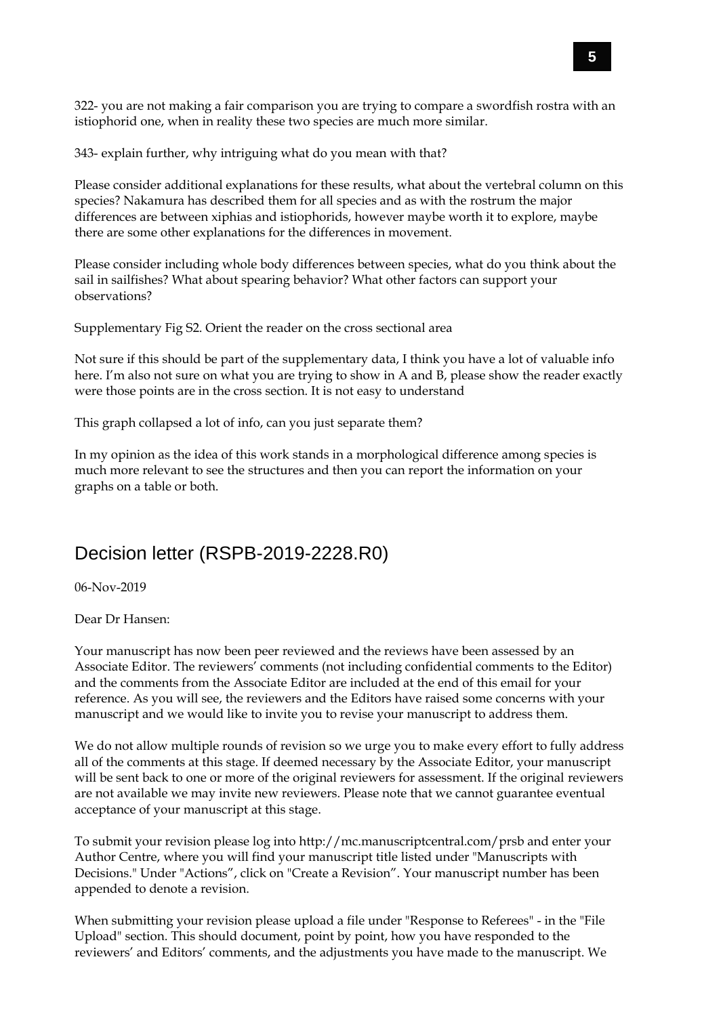322- you are not making a fair comparison you are trying to compare a swordfish rostra with an istiophorid one, when in reality these two species are much more similar.

343- explain further, why intriguing what do you mean with that?

Please consider additional explanations for these results, what about the vertebral column on this species? Nakamura has described them for all species and as with the rostrum the major differences are between xiphias and istiophorids, however maybe worth it to explore, maybe there are some other explanations for the differences in movement.

Please consider including whole body differences between species, what do you think about the sail in sailfishes? What about spearing behavior? What other factors can support your observations?

Supplementary Fig S2. Orient the reader on the cross sectional area

Not sure if this should be part of the supplementary data, I think you have a lot of valuable info here. I'm also not sure on what you are trying to show in A and B, please show the reader exactly were those points are in the cross section. It is not easy to understand

This graph collapsed a lot of info, can you just separate them?

In my opinion as the idea of this work stands in a morphological difference among species is much more relevant to see the structures and then you can report the information on your graphs on a table or both.

### Decision letter (RSPB-2019-2228.R0)

06-Nov-2019

Dear Dr Hansen:

Your manuscript has now been peer reviewed and the reviews have been assessed by an Associate Editor. The reviewers' comments (not including confidential comments to the Editor) and the comments from the Associate Editor are included at the end of this email for your reference. As you will see, the reviewers and the Editors have raised some concerns with your manuscript and we would like to invite you to revise your manuscript to address them.

We do not allow multiple rounds of revision so we urge you to make every effort to fully address all of the comments at this stage. If deemed necessary by the Associate Editor, your manuscript will be sent back to one or more of the original reviewers for assessment. If the original reviewers are not available we may invite new reviewers. Please note that we cannot guarantee eventual acceptance of your manuscript at this stage.

To submit your revision please log into http://mc.manuscriptcentral.com/prsb and enter your Author Centre, where you will find your manuscript title listed under "Manuscripts with Decisions." Under "Actions", click on "Create a Revision". Your manuscript number has been appended to denote a revision.

When submitting your revision please upload a file under "Response to Referees" - in the "File Upload" section. This should document, point by point, how you have responded to the reviewers' and Editors' comments, and the adjustments you have made to the manuscript. We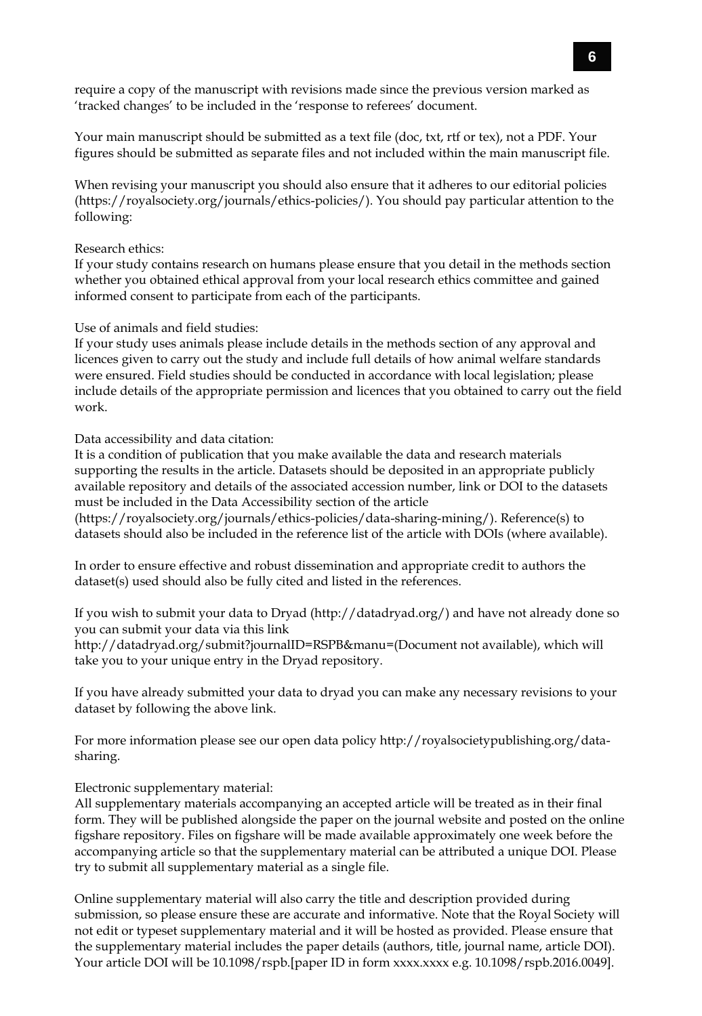require a copy of the manuscript with revisions made since the previous version marked as 'tracked changes' to be included in the 'response to referees' document.

Your main manuscript should be submitted as a text file (doc, txt, rtf or tex), not a PDF. Your figures should be submitted as separate files and not included within the main manuscript file.

When revising your manuscript you should also ensure that it adheres to our editorial policies (https://royalsociety.org/journals/ethics-policies/). You should pay particular attention to the following:

#### Research ethics:

If your study contains research on humans please ensure that you detail in the methods section whether you obtained ethical approval from your local research ethics committee and gained informed consent to participate from each of the participants.

#### Use of animals and field studies:

If your study uses animals please include details in the methods section of any approval and licences given to carry out the study and include full details of how animal welfare standards were ensured. Field studies should be conducted in accordance with local legislation; please include details of the appropriate permission and licences that you obtained to carry out the field work.

Data accessibility and data citation:

It is a condition of publication that you make available the data and research materials supporting the results in the article. Datasets should be deposited in an appropriate publicly available repository and details of the associated accession number, link or DOI to the datasets must be included in the Data Accessibility section of the article

(https://royalsociety.org/journals/ethics-policies/data-sharing-mining/). Reference(s) to datasets should also be included in the reference list of the article with DOIs (where available).

In order to ensure effective and robust dissemination and appropriate credit to authors the dataset(s) used should also be fully cited and listed in the references.

If you wish to submit your data to Dryad (http://datadryad.org/) and have not already done so you can submit your data via this link

http://datadryad.org/submit?journalID=RSPB&manu=(Document not available), which will take you to your unique entry in the Dryad repository.

If you have already submitted your data to dryad you can make any necessary revisions to your dataset by following the above link.

For more information please see our open data policy http://royalsocietypublishing.org/datasharing.

Electronic supplementary material:

All supplementary materials accompanying an accepted article will be treated as in their final form. They will be published alongside the paper on the journal website and posted on the online figshare repository. Files on figshare will be made available approximately one week before the accompanying article so that the supplementary material can be attributed a unique DOI. Please try to submit all supplementary material as a single file.

Online supplementary material will also carry the title and description provided during submission, so please ensure these are accurate and informative. Note that the Royal Society will not edit or typeset supplementary material and it will be hosted as provided. Please ensure that the supplementary material includes the paper details (authors, title, journal name, article DOI). Your article DOI will be 10.1098/rspb.[paper ID in form xxxx.xxxx e.g. 10.1098/rspb.2016.0049].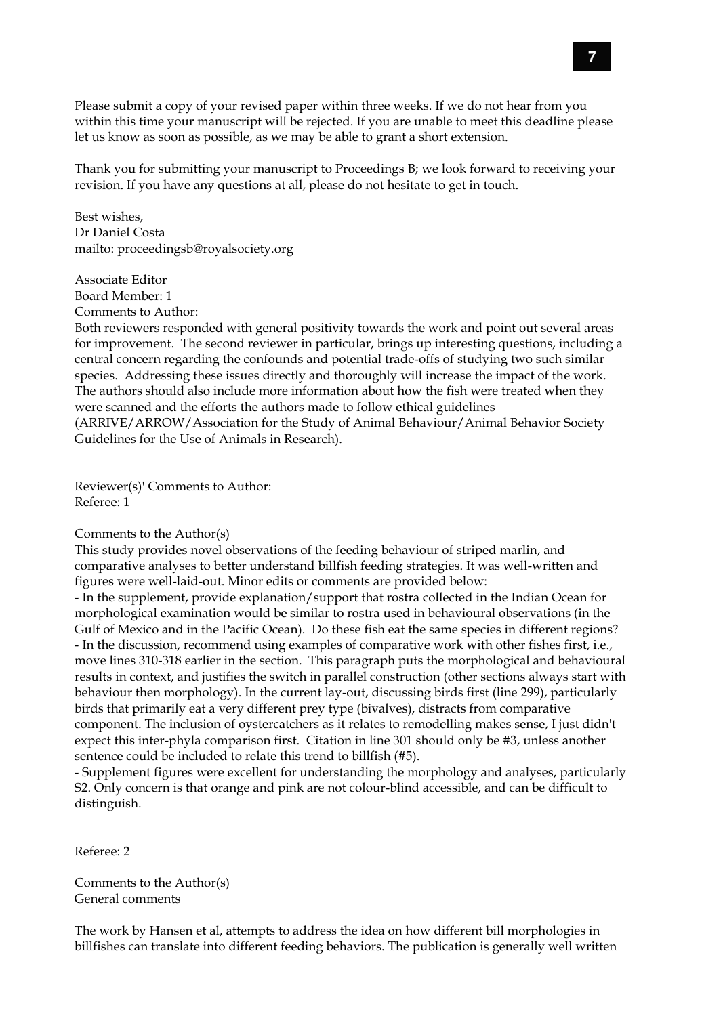Please submit a copy of your revised paper within three weeks. If we do not hear from you within this time your manuscript will be rejected. If you are unable to meet this deadline please let us know as soon as possible, as we may be able to grant a short extension.

Thank you for submitting your manuscript to Proceedings B; we look forward to receiving your revision. If you have any questions at all, please do not hesitate to get in touch.

Best wishes, Dr Daniel Costa mailto: proceedingsb@royalsociety.org

Associate Editor Board Member: 1

Comments to Author:

Both reviewers responded with general positivity towards the work and point out several areas for improvement. The second reviewer in particular, brings up interesting questions, including a central concern regarding the confounds and potential trade-offs of studying two such similar species. Addressing these issues directly and thoroughly will increase the impact of the work. The authors should also include more information about how the fish were treated when they were scanned and the efforts the authors made to follow ethical guidelines (ARRIVE/ARROW/Association for the Study of Animal Behaviour/Animal Behavior Society Guidelines for the Use of Animals in Research).

Reviewer(s)' Comments to Author: Referee: 1

#### Comments to the Author(s)

This study provides novel observations of the feeding behaviour of striped marlin, and comparative analyses to better understand billfish feeding strategies. It was well-written and figures were well-laid-out. Minor edits or comments are provided below:

- In the supplement, provide explanation/support that rostra collected in the Indian Ocean for morphological examination would be similar to rostra used in behavioural observations (in the Gulf of Mexico and in the Pacific Ocean). Do these fish eat the same species in different regions? - In the discussion, recommend using examples of comparative work with other fishes first, i.e., move lines 310-318 earlier in the section. This paragraph puts the morphological and behavioural results in context, and justifies the switch in parallel construction (other sections always start with behaviour then morphology). In the current lay-out, discussing birds first (line 299), particularly birds that primarily eat a very different prey type (bivalves), distracts from comparative component. The inclusion of oystercatchers as it relates to remodelling makes sense, I just didn't expect this inter-phyla comparison first. Citation in line 301 should only be #3, unless another sentence could be included to relate this trend to billfish (#5).

- Supplement figures were excellent for understanding the morphology and analyses, particularly S2. Only concern is that orange and pink are not colour-blind accessible, and can be difficult to distinguish.

Referee: 2

Comments to the Author(s) General comments

The work by Hansen et al, attempts to address the idea on how different bill morphologies in billfishes can translate into different feeding behaviors. The publication is generally well written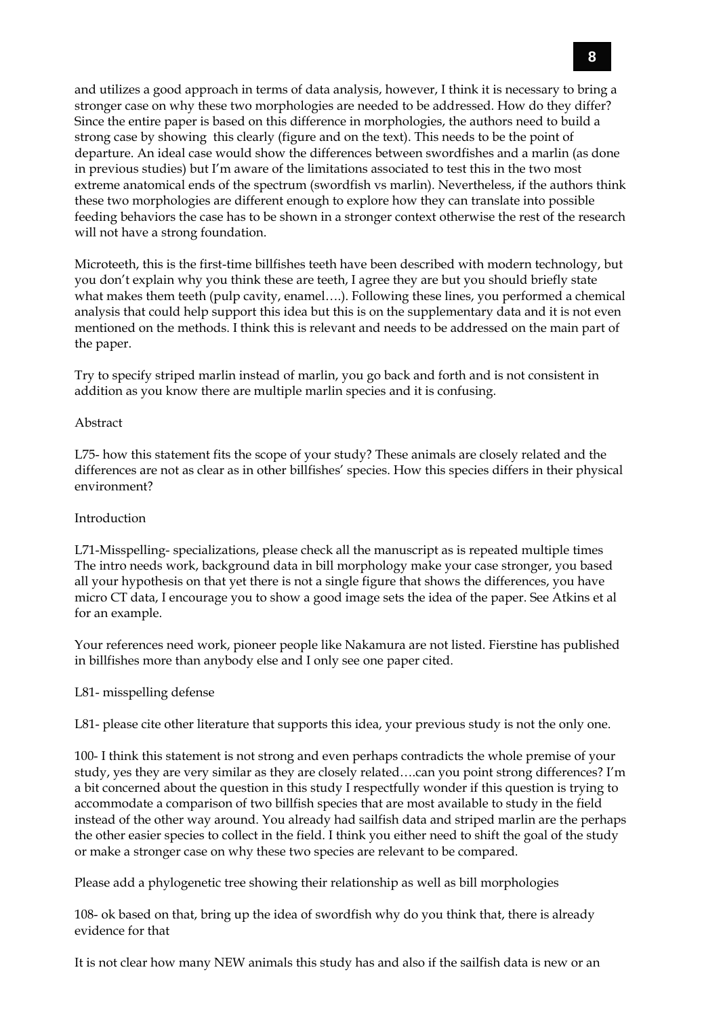and utilizes a good approach in terms of data analysis, however, I think it is necessary to bring a stronger case on why these two morphologies are needed to be addressed. How do they differ? Since the entire paper is based on this difference in morphologies, the authors need to build a strong case by showing this clearly (figure and on the text). This needs to be the point of departure. An ideal case would show the differences between swordfishes and a marlin (as done in previous studies) but I'm aware of the limitations associated to test this in the two most extreme anatomical ends of the spectrum (swordfish vs marlin). Nevertheless, if the authors think these two morphologies are different enough to explore how they can translate into possible feeding behaviors the case has to be shown in a stronger context otherwise the rest of the research will not have a strong foundation.

Microteeth, this is the first-time billfishes teeth have been described with modern technology, but you don't explain why you think these are teeth, I agree they are but you should briefly state what makes them teeth (pulp cavity, enamel….). Following these lines, you performed a chemical analysis that could help support this idea but this is on the supplementary data and it is not even mentioned on the methods. I think this is relevant and needs to be addressed on the main part of the paper.

Try to specify striped marlin instead of marlin, you go back and forth and is not consistent in addition as you know there are multiple marlin species and it is confusing.

#### Abstract

L75- how this statement fits the scope of your study? These animals are closely related and the differences are not as clear as in other billfishes' species. How this species differs in their physical environment?

#### Introduction

L71-Misspelling- specializations, please check all the manuscript as is repeated multiple times The intro needs work, background data in bill morphology make your case stronger, you based all your hypothesis on that yet there is not a single figure that shows the differences, you have micro CT data, I encourage you to show a good image sets the idea of the paper. See Atkins et al for an example.

Your references need work, pioneer people like Nakamura are not listed. Fierstine has published in billfishes more than anybody else and I only see one paper cited.

#### L81- misspelling defense

L81- please cite other literature that supports this idea, your previous study is not the only one.

100- I think this statement is not strong and even perhaps contradicts the whole premise of your study, yes they are very similar as they are closely related….can you point strong differences? I'm a bit concerned about the question in this study I respectfully wonder if this question is trying to accommodate a comparison of two billfish species that are most available to study in the field instead of the other way around. You already had sailfish data and striped marlin are the perhaps the other easier species to collect in the field. I think you either need to shift the goal of the study or make a stronger case on why these two species are relevant to be compared.

Please add a phylogenetic tree showing their relationship as well as bill morphologies

108- ok based on that, bring up the idea of swordfish why do you think that, there is already evidence for that

It is not clear how many NEW animals this study has and also if the sailfish data is new or an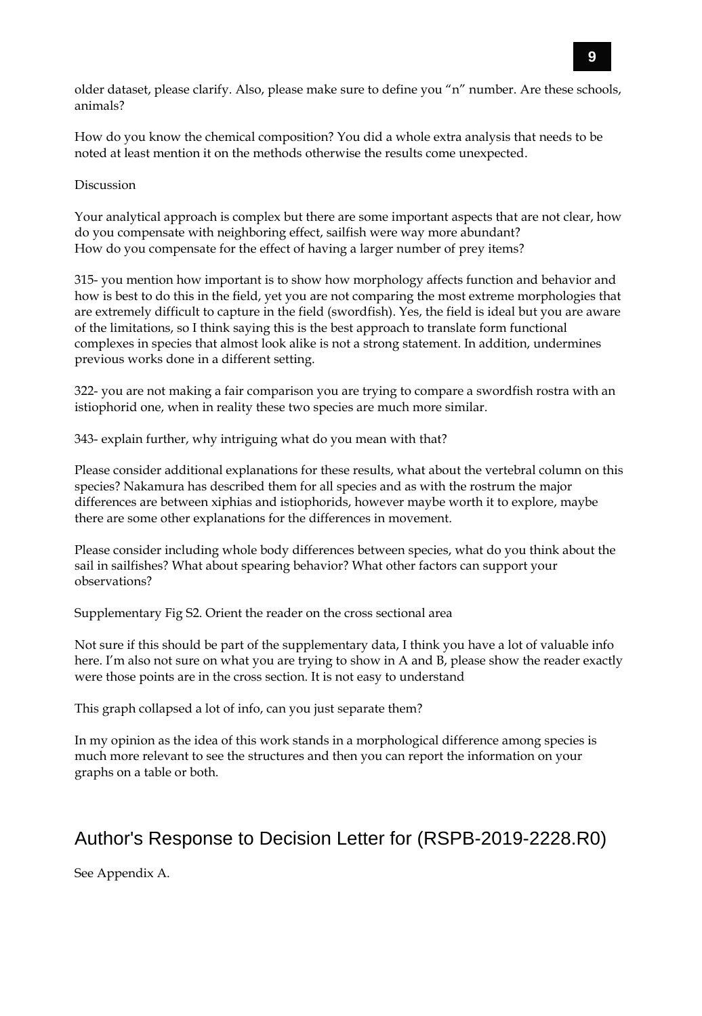older dataset, please clarify. Also, please make sure to define you "n" number. Are these schools, animals?

How do you know the chemical composition? You did a whole extra analysis that needs to be noted at least mention it on the methods otherwise the results come unexpected.

#### Discussion

Your analytical approach is complex but there are some important aspects that are not clear, how do you compensate with neighboring effect, sailfish were way more abundant? How do you compensate for the effect of having a larger number of prey items?

315- you mention how important is to show how morphology affects function and behavior and how is best to do this in the field, yet you are not comparing the most extreme morphologies that are extremely difficult to capture in the field (swordfish). Yes, the field is ideal but you are aware of the limitations, so I think saying this is the best approach to translate form functional complexes in species that almost look alike is not a strong statement. In addition, undermines previous works done in a different setting.

322- you are not making a fair comparison you are trying to compare a swordfish rostra with an istiophorid one, when in reality these two species are much more similar.

343- explain further, why intriguing what do you mean with that?

Please consider additional explanations for these results, what about the vertebral column on this species? Nakamura has described them for all species and as with the rostrum the major differences are between xiphias and istiophorids, however maybe worth it to explore, maybe there are some other explanations for the differences in movement.

Please consider including whole body differences between species, what do you think about the sail in sailfishes? What about spearing behavior? What other factors can support your observations?

Supplementary Fig S2. Orient the reader on the cross sectional area

Not sure if this should be part of the supplementary data, I think you have a lot of valuable info here. I'm also not sure on what you are trying to show in A and B, please show the reader exactly were those points are in the cross section. It is not easy to understand

This graph collapsed a lot of info, can you just separate them?

In my opinion as the idea of this work stands in a morphological difference among species is much more relevant to see the structures and then you can report the information on your graphs on a table or both.

## Author's Response to Decision Letter for (RSPB-2019-2228.R0)

See Appendix A.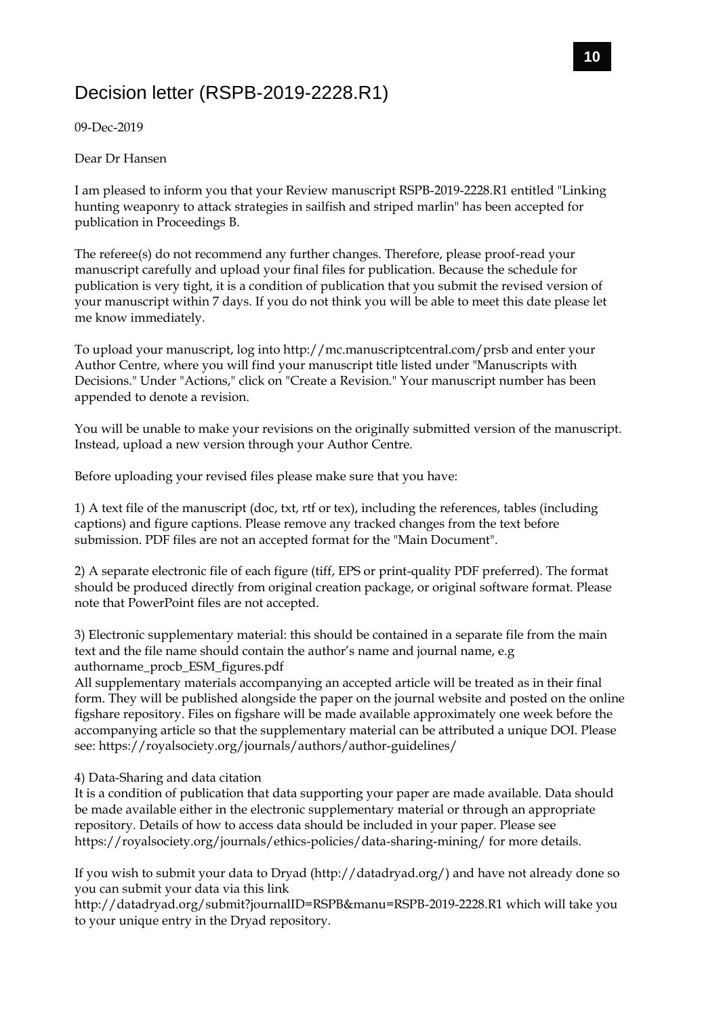# Decision letter (RSPB-2019-2228.R1)

09-Dec-2019

Dear Dr Hansen

I am pleased to inform you that your Review manuscript RSPB-2019-2228.R1 entitled "Linking hunting weaponry to attack strategies in sailfish and striped marlin" has been accepted for publication in Proceedings B.

The referee(s) do not recommend any further changes. Therefore, please proof-read your manuscript carefully and upload your final files for publication. Because the schedule for publication is very tight, it is a condition of publication that you submit the revised version of your manuscript within 7 days. If you do not think you will be able to meet this date please let me know immediately.

To upload your manuscript, log into http://mc.manuscriptcentral.com/prsb and enter your Author Centre, where you will find your manuscript title listed under "Manuscripts with Decisions." Under "Actions," click on "Create a Revision." Your manuscript number has been appended to denote a revision.

You will be unable to make your revisions on the originally submitted version of the manuscript. Instead, upload a new version through your Author Centre.

Before uploading your revised files please make sure that you have:

1) A text file of the manuscript (doc, txt, rtf or tex), including the references, tables (including captions) and figure captions. Please remove any tracked changes from the text before submission. PDF files are not an accepted format for the "Main Document".

2) A separate electronic file of each figure (tiff, EPS or print-quality PDF preferred). The format should be produced directly from original creation package, or original software format. Please note that PowerPoint files are not accepted.

3) Electronic supplementary material: this should be contained in a separate file from the main text and the file name should contain the author's name and journal name, e.g authorname\_procb\_ESM\_figures.pdf

All supplementary materials accompanying an accepted article will be treated as in their final form. They will be published alongside the paper on the journal website and posted on the online figshare repository. Files on figshare will be made available approximately one week before the accompanying article so that the supplementary material can be attributed a unique DOI. Please see: https://royalsociety.org/journals/authors/author-guidelines/

4) Data-Sharing and data citation

It is a condition of publication that data supporting your paper are made available. Data should be made available either in the electronic supplementary material or through an appropriate repository. Details of how to access data should be included in your paper. Please see https://royalsociety.org/journals/ethics-policies/data-sharing-mining/ for more details.

If you wish to submit your data to Dryad (http://datadryad.org/) and have not already done so you can submit your data via this link

http://datadryad.org/submit?journalID=RSPB&manu=RSPB-2019-2228.R1 which will take you to your unique entry in the Dryad repository.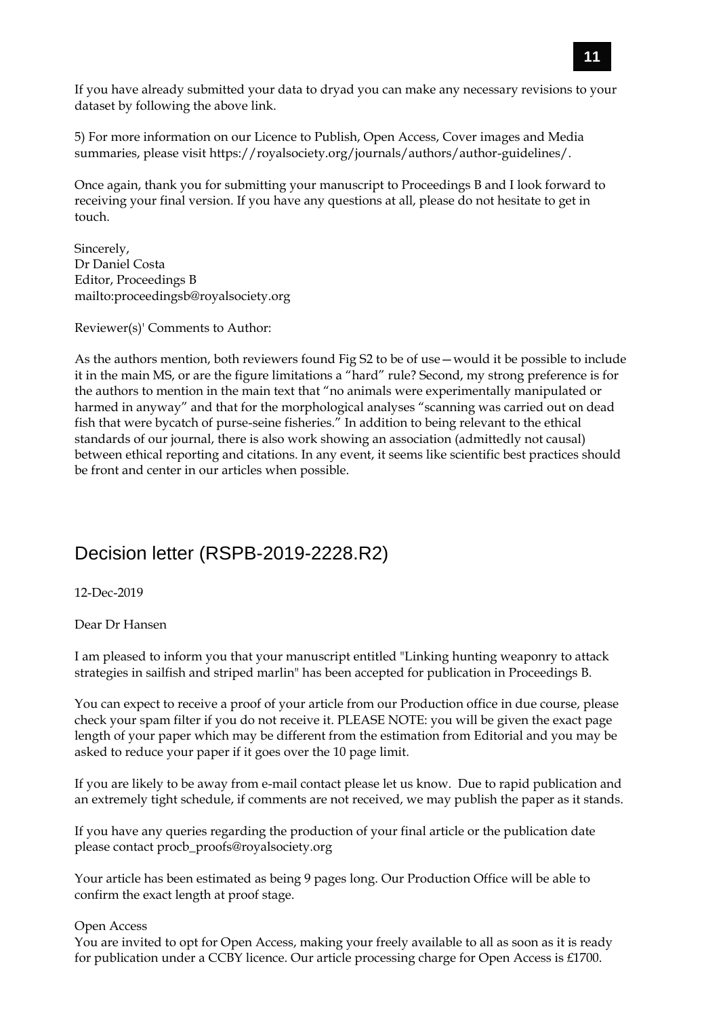If you have already submitted your data to dryad you can make any necessary revisions to your dataset by following the above link.

5) For more information on our Licence to Publish, Open Access, Cover images and Media summaries, please visit https://royalsociety.org/journals/authors/author-guidelines/.

Once again, thank you for submitting your manuscript to Proceedings B and I look forward to receiving your final version. If you have any questions at all, please do not hesitate to get in touch.

Sincerely, Dr Daniel Costa Editor, Proceedings B mailto:proceedingsb@royalsociety.org

Reviewer(s)' Comments to Author:

As the authors mention, both reviewers found Fig S2 to be of use—would it be possible to include it in the main MS, or are the figure limitations a "hard" rule? Second, my strong preference is for the authors to mention in the main text that "no animals were experimentally manipulated or harmed in anyway" and that for the morphological analyses "scanning was carried out on dead fish that were bycatch of purse-seine fisheries." In addition to being relevant to the ethical standards of our journal, there is also work showing an association (admittedly not causal) between ethical reporting and citations. In any event, it seems like scientific best practices should be front and center in our articles when possible.

## Decision letter (RSPB-2019-2228.R2)

12-Dec-2019

Dear Dr Hansen

I am pleased to inform you that your manuscript entitled "Linking hunting weaponry to attack strategies in sailfish and striped marlin" has been accepted for publication in Proceedings B.

You can expect to receive a proof of your article from our Production office in due course, please check your spam filter if you do not receive it. PLEASE NOTE: you will be given the exact page length of your paper which may be different from the estimation from Editorial and you may be asked to reduce your paper if it goes over the 10 page limit.

If you are likely to be away from e-mail contact please let us know. Due to rapid publication and an extremely tight schedule, if comments are not received, we may publish the paper as it stands.

If you have any queries regarding the production of your final article or the publication date please contact procb\_proofs@royalsociety.org

Your article has been estimated as being 9 pages long. Our Production Office will be able to confirm the exact length at proof stage.

#### Open Access

You are invited to opt for Open Access, making your freely available to all as soon as it is ready for publication under a CCBY licence. Our article processing charge for Open Access is £1700.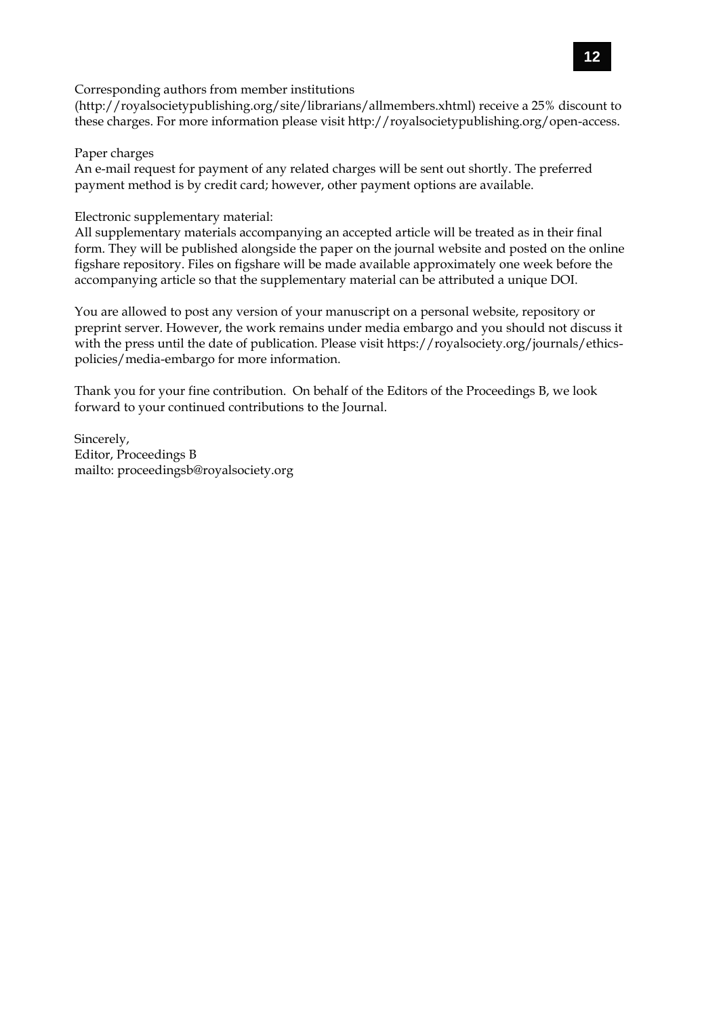Corresponding authors from member institutions

(http://royalsocietypublishing.org/site/librarians/allmembers.xhtml) receive a 25% discount to these charges. For more information please visit http://royalsocietypublishing.org/open-access.

#### Paper charges

An e-mail request for payment of any related charges will be sent out shortly. The preferred payment method is by credit card; however, other payment options are available.

#### Electronic supplementary material:

All supplementary materials accompanying an accepted article will be treated as in their final form. They will be published alongside the paper on the journal website and posted on the online figshare repository. Files on figshare will be made available approximately one week before the accompanying article so that the supplementary material can be attributed a unique DOI.

You are allowed to post any version of your manuscript on a personal website, repository or preprint server. However, the work remains under media embargo and you should not discuss it with the press until the date of publication. Please visit https://royalsociety.org/journals/ethicspolicies/media-embargo for more information.

Thank you for your fine contribution. On behalf of the Editors of the Proceedings B, we look forward to your continued contributions to the Journal.

Sincerely, Editor, Proceedings B mailto: proceedingsb@royalsociety.org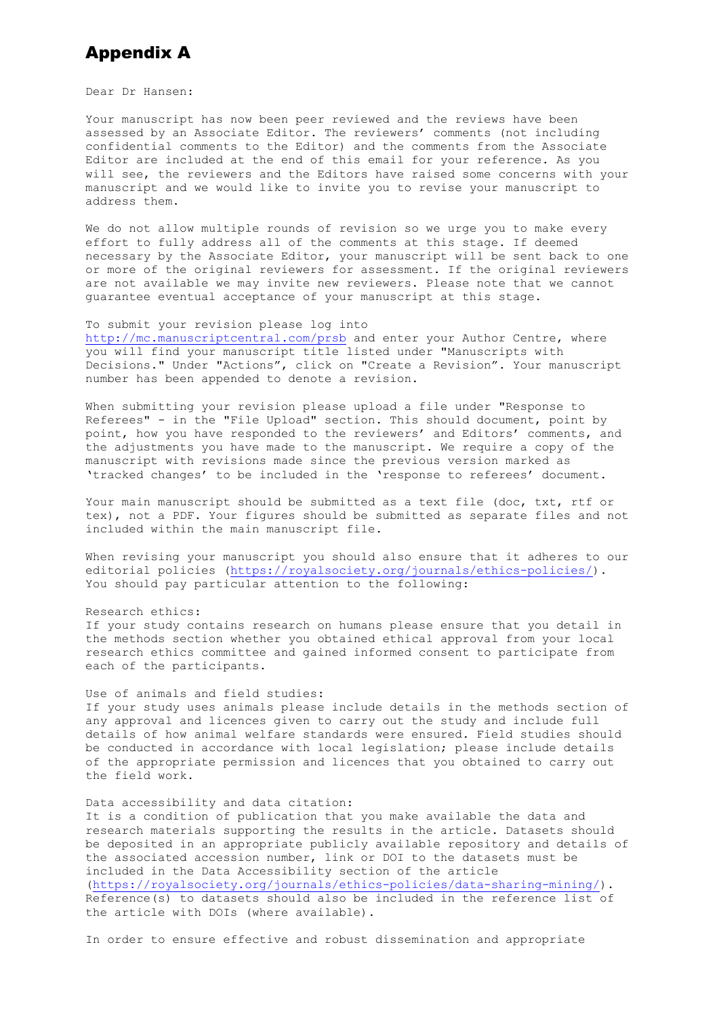# Appendix A

Dear Dr Hansen:

Your manuscript has now been peer reviewed and the reviews have been assessed by an Associate Editor. The reviewers' comments (not including confidential comments to the Editor) and the comments from the Associate Editor are included at the end of this email for your reference. As you will see, the reviewers and the Editors have raised some concerns with your manuscript and we would like to invite you to revise your manuscript to address them.

We do not allow multiple rounds of revision so we urge you to make every effort to fully address all of the comments at this stage. If deemed necessary by the Associate Editor, your manuscript will be sent back to one or more of the original reviewers for assessment. If the original reviewers are not available we may invite new reviewers. Please note that we cannot guarantee eventual acceptance of your manuscript at this stage.

#### To submit your revision please log into

<http://mc.manuscriptcentral.com/prsb> and enter your Author Centre, where you will find your manuscript title listed under "Manuscripts with Decisions." Under "Actions", click on "Create a Revision". Your manuscript number has been appended to denote a revision.

When submitting your revision please upload a file under "Response to Referees" - in the "File Upload" section. This should document, point by point, how you have responded to the reviewers' and Editors' comments, and the adjustments you have made to the manuscript. We require a copy of the manuscript with revisions made since the previous version marked as 'tracked changes' to be included in the 'response to referees' document.

Your main manuscript should be submitted as a text file (doc, txt, rtf or tex), not a PDF. Your figures should be submitted as separate files and not included within the main manuscript file.

When revising your manuscript you should also ensure that it adheres to our editorial policies [\(https://royalsociety.org/journals/ethics-policies/\)](https://royalsociety.org/journals/ethics-policies/). You should pay particular attention to the following:

#### Research ethics:

If your study contains research on humans please ensure that you detail in the methods section whether you obtained ethical approval from your local research ethics committee and gained informed consent to participate from each of the participants.

#### Use of animals and field studies:

If your study uses animals please include details in the methods section of any approval and licences given to carry out the study and include full details of how animal welfare standards were ensured. Field studies should be conducted in accordance with local legislation; please include details of the appropriate permission and licences that you obtained to carry out the field work.

#### Data accessibility and data citation:

It is a condition of publication that you make available the data and research materials supporting the results in the article. Datasets should be deposited in an appropriate publicly available repository and details of the associated accession number, link or DOI to the datasets must be included in the Data Accessibility section of the article [\(https://royalsociety.org/journals/ethics-policies/data-sharing-mining/\)](https://royalsociety.org/journals/ethics-policies/data-sharing-mining/). Reference(s) to datasets should also be included in the reference list of the article with DOIs (where available).

In order to ensure effective and robust dissemination and appropriate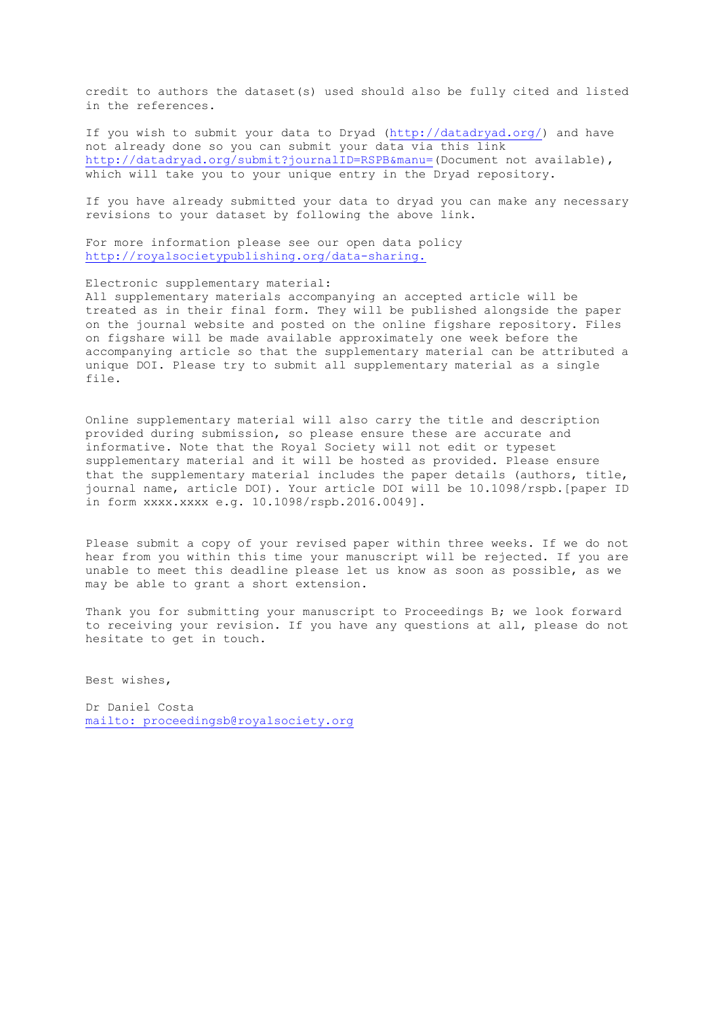credit to authors the dataset(s) used should also be fully cited and listed in the references.

If you wish to submit your data to Dryad [\(http://datadryad.org/\)](http://datadryad.org/) and have not already done so you can submit your data via this link [http://datadryad.org/submit?journalID=RSPB&manu=\(](http://datadryad.org/submit?journalID=RSPB&manu=)Document not available), which will take you to your unique entry in the Dryad repository.

If you have already submitted your data to dryad you can make any necessary revisions to your dataset by following the above link.

For more information please see our open data policy <http://royalsocietypublishing.org/data-sharing.>

Electronic supplementary material:

All supplementary materials accompanying an accepted article will be treated as in their final form. They will be published alongside the paper on the journal website and posted on the online figshare repository. Files on figshare will be made available approximately one week before the accompanying article so that the supplementary material can be attributed a unique DOI. Please try to submit all supplementary material as a single file.

Online supplementary material will also carry the title and description provided during submission, so please ensure these are accurate and informative. Note that the Royal Society will not edit or typeset supplementary material and it will be hosted as provided. Please ensure that the supplementary material includes the paper details (authors, title, journal name, article DOI). Your article DOI will be 10.1098/rspb.[paper ID in form xxxx.xxxx e.g. 10.1098/rspb.2016.0049].

Please submit a copy of your revised paper within three weeks. If we do not hear from you within this time your manuscript will be rejected. If you are unable to meet this deadline please let us know as soon as possible, as we may be able to grant a short extension.

Thank you for submitting your manuscript to Proceedings B; we look forward to receiving your revision. If you have any questions at all, please do not hesitate to get in touch.

Best wishes,

Dr Daniel Costa [mailto: proceedingsb@royalsociety.org](mailto:%20proceedingsb@royalsociety.org)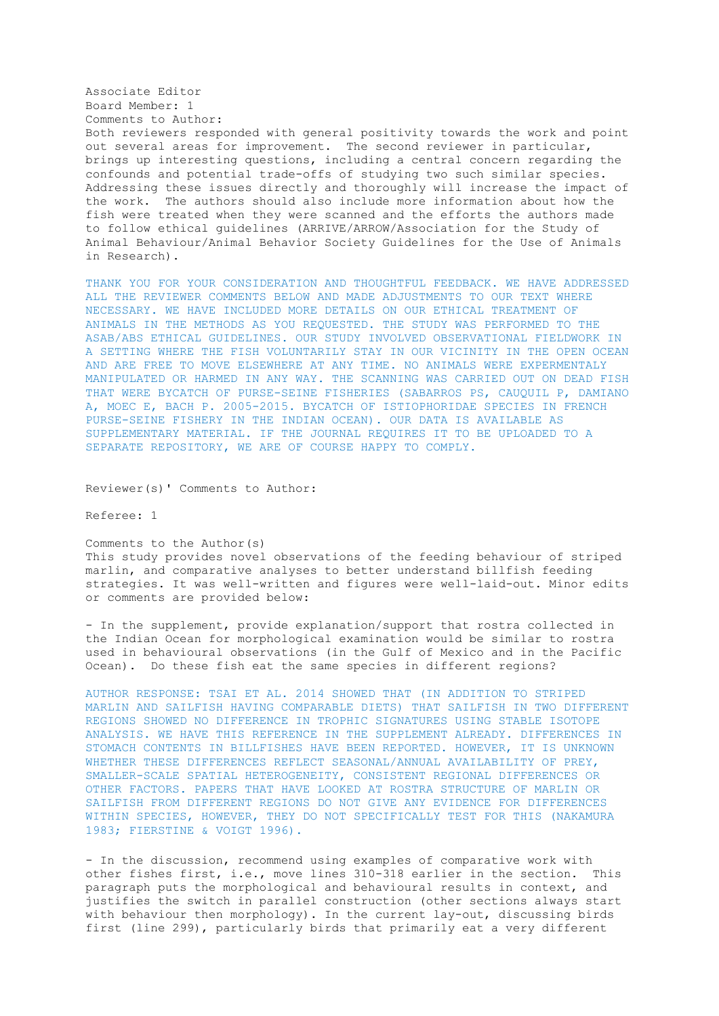#### Associate Editor Board Member: 1 Comments to Author: Both reviewers responded with general positivity towards the work and point out several areas for improvement. The second reviewer in particular, brings up interesting questions, including a central concern regarding the confounds and potential trade-offs of studying two such similar species. Addressing these issues directly and thoroughly will increase the impact of the work. The authors should also include more information about how the fish were treated when they were scanned and the efforts the authors made to follow ethical guidelines (ARRIVE/ARROW/Association for the Study of Animal Behaviour/Animal Behavior Society Guidelines for the Use of Animals in Research).

THANK YOU FOR YOUR CONSIDERATION AND THOUGHTFUL FEEDBACK. WE HAVE ADDRESSED ALL THE REVIEWER COMMENTS BELOW AND MADE ADJUSTMENTS TO OUR TEXT WHERE NECESSARY. WE HAVE INCLUDED MORE DETAILS ON OUR ETHICAL TREATMENT OF ANIMALS IN THE METHODS AS YOU REQUESTED. THE STUDY WAS PERFORMED TO THE ASAB/ABS ETHICAL GUIDELINES. OUR STUDY INVOLVED OBSERVATIONAL FIELDWORK IN A SETTING WHERE THE FISH VOLUNTARILY STAY IN OUR VICINITY IN THE OPEN OCEAN AND ARE FREE TO MOVE ELSEWHERE AT ANY TIME. NO ANIMALS WERE EXPERMENTALY MANIPULATED OR HARMED IN ANY WAY. THE SCANNING WAS CARRIED OUT ON DEAD FISH THAT WERE BYCATCH OF PURSE-SEINE FISHERIES (SABARROS PS, CAUQUIL P, DAMIANO A, MOEC E, BACH P. 2005-2015. BYCATCH OF ISTIOPHORIDAE SPECIES IN FRENCH PURSE-SEINE FISHERY IN THE INDIAN OCEAN). OUR DATA IS AVAILABLE AS SUPPLEMENTARY MATERIAL. IF THE JOURNAL REQUIRES IT TO BE UPLOADED TO A SEPARATE REPOSITORY, WE ARE OF COURSE HAPPY TO COMPLY.

Reviewer(s)' Comments to Author:

Referee: 1

Comments to the Author(s) This study provides novel observations of the feeding behaviour of striped marlin, and comparative analyses to better understand billfish feeding strategies. It was well-written and figures were well-laid-out. Minor edits or comments are provided below:

- In the supplement, provide explanation/support that rostra collected in the Indian Ocean for morphological examination would be similar to rostra used in behavioural observations (in the Gulf of Mexico and in the Pacific Ocean). Do these fish eat the same species in different regions?

AUTHOR RESPONSE: TSAI ET AL. 2014 SHOWED THAT (IN ADDITION TO STRIPED MARLIN AND SAILFISH HAVING COMPARABLE DIETS) THAT SAILFISH IN TWO DIFFERENT REGIONS SHOWED NO DIFFERENCE IN TROPHIC SIGNATURES USING STABLE ISOTOPE ANALYSIS. WE HAVE THIS REFERENCE IN THE SUPPLEMENT ALREADY. DIFFERENCES IN STOMACH CONTENTS IN BILLFISHES HAVE BEEN REPORTED. HOWEVER, IT IS UNKNOWN WHETHER THESE DIFFERENCES REFLECT SEASONAL/ANNUAL AVAILABILITY OF PREY, SMALLER-SCALE SPATIAL HETEROGENEITY, CONSISTENT REGIONAL DIFFERENCES OR OTHER FACTORS. PAPERS THAT HAVE LOOKED AT ROSTRA STRUCTURE OF MARLIN OR SAILFISH FROM DIFFERENT REGIONS DO NOT GIVE ANY EVIDENCE FOR DIFFERENCES WITHIN SPECIES, HOWEVER, THEY DO NOT SPECIFICALLY TEST FOR THIS (NAKAMURA 1983; FIERSTINE & VOIGT 1996).

- In the discussion, recommend using examples of comparative work with other fishes first, i.e., move lines 310-318 earlier in the section. This paragraph puts the morphological and behavioural results in context, and justifies the switch in parallel construction (other sections always start with behaviour then morphology). In the current lay-out, discussing birds first (line 299), particularly birds that primarily eat a very different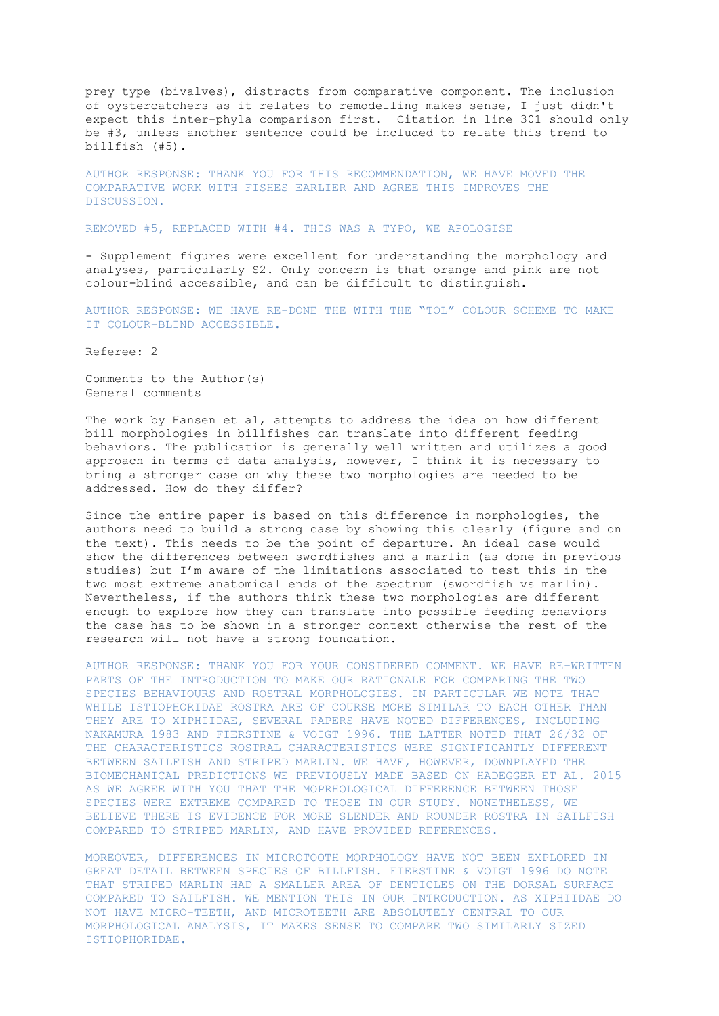prey type (bivalves), distracts from comparative component. The inclusion of oystercatchers as it relates to remodelling makes sense, I just didn't expect this inter-phyla comparison first. Citation in line 301 should only be #3, unless another sentence could be included to relate this trend to billfish (#5).

AUTHOR RESPONSE: THANK YOU FOR THIS RECOMMENDATION, WE HAVE MOVED THE COMPARATIVE WORK WITH FISHES EARLIER AND AGREE THIS IMPROVES THE DISCUSSION.

REMOVED #5, REPLACED WITH #4. THIS WAS A TYPO, WE APOLOGISE

- Supplement figures were excellent for understanding the morphology and analyses, particularly S2. Only concern is that orange and pink are not colour-blind accessible, and can be difficult to distinguish.

AUTHOR RESPONSE: WE HAVE RE-DONE THE WITH THE "TOL" COLOUR SCHEME TO MAKE IT COLOUR-BLIND ACCESSIBLE.

Referee: 2

Comments to the Author(s) General comments

The work by Hansen et al, attempts to address the idea on how different bill morphologies in billfishes can translate into different feeding behaviors. The publication is generally well written and utilizes a good approach in terms of data analysis, however, I think it is necessary to bring a stronger case on why these two morphologies are needed to be addressed. How do they differ?

Since the entire paper is based on this difference in morphologies, the authors need to build a strong case by showing this clearly (figure and on the text). This needs to be the point of departure. An ideal case would show the differences between swordfishes and a marlin (as done in previous studies) but I'm aware of the limitations associated to test this in the two most extreme anatomical ends of the spectrum (swordfish vs marlin). Nevertheless, if the authors think these two morphologies are different enough to explore how they can translate into possible feeding behaviors the case has to be shown in a stronger context otherwise the rest of the research will not have a strong foundation.

AUTHOR RESPONSE: THANK YOU FOR YOUR CONSIDERED COMMENT. WE HAVE RE-WRITTEN PARTS OF THE INTRODUCTION TO MAKE OUR RATIONALE FOR COMPARING THE TWO SPECIES BEHAVIOURS AND ROSTRAL MORPHOLOGIES. IN PARTICULAR WE NOTE THAT WHILE ISTIOPHORIDAE ROSTRA ARE OF COURSE MORE SIMILAR TO EACH OTHER THAN THEY ARE TO XIPHIIDAE, SEVERAL PAPERS HAVE NOTED DIFFERENCES, INCLUDING NAKAMURA 1983 AND FIERSTINE & VOIGT 1996. THE LATTER NOTED THAT 26/32 OF THE CHARACTERISTICS ROSTRAL CHARACTERISTICS WERE SIGNIFICANTLY DIFFERENT BETWEEN SAILFISH AND STRIPED MARLIN. WE HAVE, HOWEVER, DOWNPLAYED THE BIOMECHANICAL PREDICTIONS WE PREVIOUSLY MADE BASED ON HADEGGER ET AL. 2015 AS WE AGREE WITH YOU THAT THE MOPRHOLOGICAL DIFFERENCE BETWEEN THOSE SPECIES WERE EXTREME COMPARED TO THOSE IN OUR STUDY. NONETHELESS, WE BELIEVE THERE IS EVIDENCE FOR MORE SLENDER AND ROUNDER ROSTRA IN SAILFISH COMPARED TO STRIPED MARLIN, AND HAVE PROVIDED REFERENCES.

MOREOVER, DIFFERENCES IN MICROTOOTH MORPHOLOGY HAVE NOT BEEN EXPLORED IN GREAT DETAIL BETWEEN SPECIES OF BILLFISH. FIERSTINE & VOIGT 1996 DO NOTE THAT STRIPED MARLIN HAD A SMALLER AREA OF DENTICLES ON THE DORSAL SURFACE COMPARED TO SAILFISH. WE MENTION THIS IN OUR INTRODUCTION. AS XIPHIIDAE DO NOT HAVE MICRO-TEETH, AND MICROTEETH ARE ABSOLUTELY CENTRAL TO OUR MORPHOLOGICAL ANALYSIS, IT MAKES SENSE TO COMPARE TWO SIMILARLY SIZED ISTIOPHORIDAE.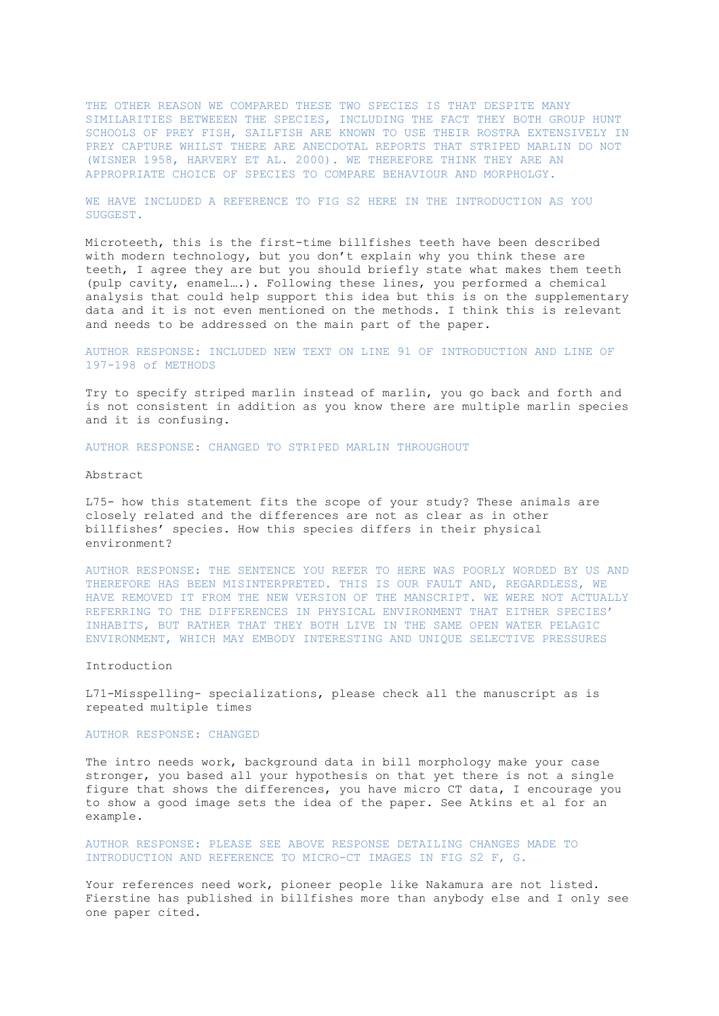THE OTHER REASON WE COMPARED THESE TWO SPECIES IS THAT DESPITE MANY SIMILARITIES BETWEEEN THE SPECIES, INCLUDING THE FACT THEY BOTH GROUP HUNT SCHOOLS OF PREY FISH, SAILFISH ARE KNOWN TO USE THEIR ROSTRA EXTENSIVELY IN PREY CAPTURE WHILST THERE ARE ANECDOTAL REPORTS THAT STRIPED MARLIN DO NOT (WISNER 1958, HARVERY ET AL. 2000). WE THEREFORE THINK THEY ARE AN APPROPRIATE CHOICE OF SPECIES TO COMPARE BEHAVIOUR AND MORPHOLGY.

WE HAVE INCLUDED A REFERENCE TO FIG S2 HERE IN THE INTRODUCTION AS YOU SUGGEST.

Microteeth, this is the first-time billfishes teeth have been described with modern technology, but you don't explain why you think these are teeth, I agree they are but you should briefly state what makes them teeth (pulp cavity, enamel….). Following these lines, you performed a chemical analysis that could help support this idea but this is on the supplementary data and it is not even mentioned on the methods. I think this is relevant and needs to be addressed on the main part of the paper.

#### AUTHOR RESPONSE: INCLUDED NEW TEXT ON LINE 91 OF INTRODUCTION AND LINE OF 197-198 of METHODS

Try to specify striped marlin instead of marlin, you go back and forth and is not consistent in addition as you know there are multiple marlin species and it is confusing.

AUTHOR RESPONSE: CHANGED TO STRIPED MARLIN THROUGHOUT

#### Abstract

L75- how this statement fits the scope of your study? These animals are closely related and the differences are not as clear as in other billfishes' species. How this species differs in their physical environment?

AUTHOR RESPONSE: THE SENTENCE YOU REFER TO HERE WAS POORLY WORDED BY US AND THEREFORE HAS BEEN MISINTERPRETED. THIS IS OUR FAULT AND, REGARDLESS, WE HAVE REMOVED IT FROM THE NEW VERSION OF THE MANSCRIPT. WE WERE NOT ACTUALLY REFERRING TO THE DIFFERENCES IN PHYSICAL ENVIRONMENT THAT EITHER SPECIES' INHABITS, BUT RATHER THAT THEY BOTH LIVE IN THE SAME OPEN WATER PELAGIC ENVIRONMENT, WHICH MAY EMBODY INTERESTING AND UNIQUE SELECTIVE PRESSURES

#### Introduction

L71-Misspelling- specializations, please check all the manuscript as is repeated multiple times

#### AUTHOR RESPONSE: CHANGED

The intro needs work, background data in bill morphology make your case stronger, you based all your hypothesis on that yet there is not a single figure that shows the differences, you have micro CT data, I encourage you to show a good image sets the idea of the paper. See Atkins et al for an example.

AUTHOR RESPONSE: PLEASE SEE ABOVE RESPONSE DETAILING CHANGES MADE TO INTRODUCTION AND REFERENCE TO MICRO-CT IMAGES IN FIG S2 F, G.

Your references need work, pioneer people like Nakamura are not listed. Fierstine has published in billfishes more than anybody else and I only see one paper cited.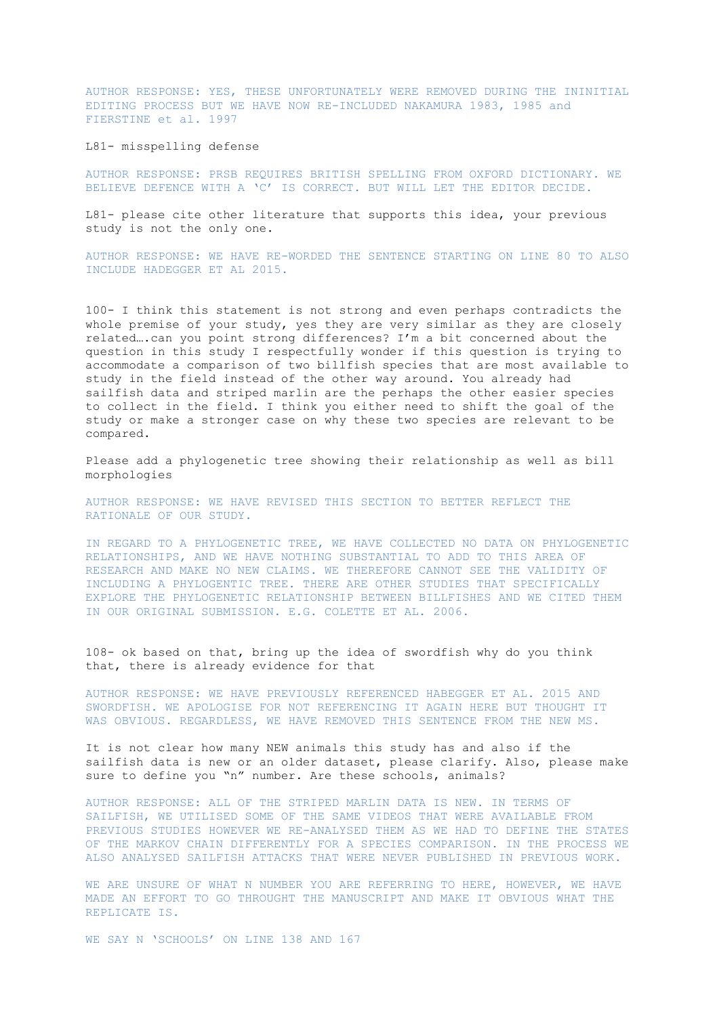AUTHOR RESPONSE: YES, THESE UNFORTUNATELY WERE REMOVED DURING THE ININITIAL EDITING PROCESS BUT WE HAVE NOW RE-INCLUDED NAKAMURA 1983, 1985 and FIERSTINE et al. 1997

L81- misspelling defense

AUTHOR RESPONSE: PRSB REQUIRES BRITISH SPELLING FROM OXFORD DICTIONARY. WE BELIEVE DEFENCE WITH A 'C' IS CORRECT. BUT WILL LET THE EDITOR DECIDE.

L81- please cite other literature that supports this idea, your previous study is not the only one.

AUTHOR RESPONSE: WE HAVE RE-WORDED THE SENTENCE STARTING ON LINE 80 TO ALSO INCLUDE HADEGGER ET AL 2015.

100- I think this statement is not strong and even perhaps contradicts the whole premise of your study, yes they are very similar as they are closely related….can you point strong differences? I'm a bit concerned about the question in this study I respectfully wonder if this question is trying to accommodate a comparison of two billfish species that are most available to study in the field instead of the other way around. You already had sailfish data and striped marlin are the perhaps the other easier species to collect in the field. I think you either need to shift the goal of the study or make a stronger case on why these two species are relevant to be compared.

Please add a phylogenetic tree showing their relationship as well as bill morphologies

AUTHOR RESPONSE: WE HAVE REVISED THIS SECTION TO BETTER REFLECT THE RATIONALE OF OUR STUDY.

IN REGARD TO A PHYLOGENETIC TREE, WE HAVE COLLECTED NO DATA ON PHYLOGENETIC RELATIONSHIPS, AND WE HAVE NOTHING SUBSTANTIAL TO ADD TO THIS AREA OF RESEARCH AND MAKE NO NEW CLAIMS. WE THEREFORE CANNOT SEE THE VALIDITY OF INCLUDING A PHYLOGENTIC TREE. THERE ARE OTHER STUDIES THAT SPECIFICALLY EXPLORE THE PHYLOGENETIC RELATIONSHIP BETWEEN BILLFISHES AND WE CITED THEM IN OUR ORIGINAL SUBMISSION. E.G. COLETTE ET AL. 2006.

108- ok based on that, bring up the idea of swordfish why do you think that, there is already evidence for that

AUTHOR RESPONSE: WE HAVE PREVIOUSLY REFERENCED HABEGGER ET AL. 2015 AND SWORDFISH. WE APOLOGISE FOR NOT REFERENCING IT AGAIN HERE BUT THOUGHT IT WAS OBVIOUS. REGARDLESS, WE HAVE REMOVED THIS SENTENCE FROM THE NEW MS.

It is not clear how many NEW animals this study has and also if the sailfish data is new or an older dataset, please clarify. Also, please make sure to define you "n" number. Are these schools, animals?

AUTHOR RESPONSE: ALL OF THE STRIPED MARLIN DATA IS NEW. IN TERMS OF SAILFISH, WE UTILISED SOME OF THE SAME VIDEOS THAT WERE AVAILABLE FROM PREVIOUS STUDIES HOWEVER WE RE-ANALYSED THEM AS WE HAD TO DEFINE THE STATES OF THE MARKOV CHAIN DIFFERENTLY FOR A SPECIES COMPARISON. IN THE PROCESS WE ALSO ANALYSED SAILFISH ATTACKS THAT WERE NEVER PUBLISHED IN PREVIOUS WORK.

WE ARE UNSURE OF WHAT N NUMBER YOU ARE REFERRING TO HERE, HOWEVER, WE HAVE MADE AN EFFORT TO GO THROUGHT THE MANUSCRIPT AND MAKE IT OBVIOUS WHAT THE REPLICATE IS.

WE SAY N 'SCHOOLS' ON LINE 138 AND 167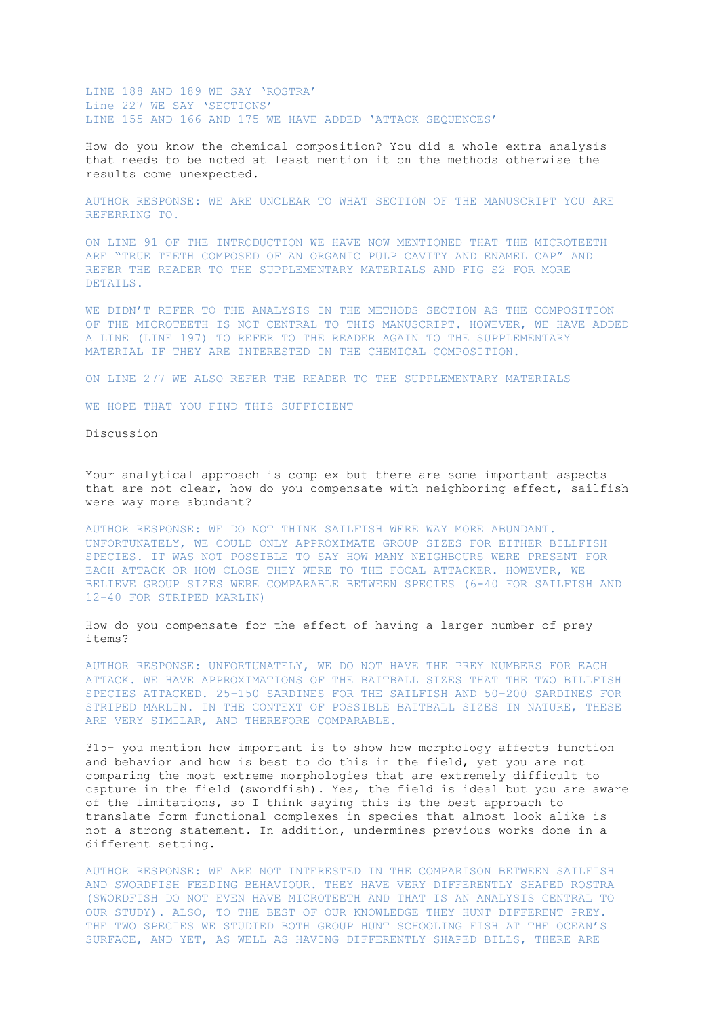LINE 188 AND 189 WE SAY 'ROSTRA' Line 227 WE SAY 'SECTIONS' LINE 155 AND 166 AND 175 WE HAVE ADDED 'ATTACK SEQUENCES'

How do you know the chemical composition? You did a whole extra analysis that needs to be noted at least mention it on the methods otherwise the results come unexpected.

AUTHOR RESPONSE: WE ARE UNCLEAR TO WHAT SECTION OF THE MANUSCRIPT YOU ARE REFERRING TO.

ON LINE 91 OF THE INTRODUCTION WE HAVE NOW MENTIONED THAT THE MICROTEETH ARE "TRUE TEETH COMPOSED OF AN ORGANIC PULP CAVITY AND ENAMEL CAP" AND REFER THE READER TO THE SUPPLEMENTARY MATERIALS AND FIG S2 FOR MORE DETAILS.

WE DIDN'T REFER TO THE ANALYSIS IN THE METHODS SECTION AS THE COMPOSITION OF THE MICROTEETH IS NOT CENTRAL TO THIS MANUSCRIPT. HOWEVER, WE HAVE ADDED A LINE (LINE 197) TO REFER TO THE READER AGAIN TO THE SUPPLEMENTARY MATERIAL IF THEY ARE INTERESTED IN THE CHEMICAL COMPOSITION.

ON LINE 277 WE ALSO REFER THE READER TO THE SUPPLEMENTARY MATERIALS

WE HOPE THAT YOU FIND THIS SUFFICIENT

Discussion

Your analytical approach is complex but there are some important aspects that are not clear, how do you compensate with neighboring effect, sailfish were way more abundant?

AUTHOR RESPONSE: WE DO NOT THINK SAILFISH WERE WAY MORE ABUNDANT. UNFORTUNATELY, WE COULD ONLY APPROXIMATE GROUP SIZES FOR EITHER BILLFISH SPECIES. IT WAS NOT POSSIBLE TO SAY HOW MANY NEIGHBOURS WERE PRESENT FOR EACH ATTACK OR HOW CLOSE THEY WERE TO THE FOCAL ATTACKER. HOWEVER, WE BELIEVE GROUP SIZES WERE COMPARABLE BETWEEN SPECIES (6-40 FOR SAILFISH AND 12-40 FOR STRIPED MARLIN)

How do you compensate for the effect of having a larger number of prey items?

AUTHOR RESPONSE: UNFORTUNATELY, WE DO NOT HAVE THE PREY NUMBERS FOR EACH ATTACK. WE HAVE APPROXIMATIONS OF THE BAITBALL SIZES THAT THE TWO BILLFISH SPECIES ATTACKED. 25-150 SARDINES FOR THE SAILFISH AND 50-200 SARDINES FOR STRIPED MARLIN. IN THE CONTEXT OF POSSIBLE BAITBALL SIZES IN NATURE, THESE ARE VERY SIMILAR, AND THEREFORE COMPARABLE.

315- you mention how important is to show how morphology affects function and behavior and how is best to do this in the field, yet you are not comparing the most extreme morphologies that are extremely difficult to capture in the field (swordfish). Yes, the field is ideal but you are aware of the limitations, so I think saying this is the best approach to translate form functional complexes in species that almost look alike is not a strong statement. In addition, undermines previous works done in a different setting.

AUTHOR RESPONSE: WE ARE NOT INTERESTED IN THE COMPARISON BETWEEN SAILFISH AND SWORDFISH FEEDING BEHAVIOUR. THEY HAVE VERY DIFFERENTLY SHAPED ROSTRA (SWORDFISH DO NOT EVEN HAVE MICROTEETH AND THAT IS AN ANALYSIS CENTRAL TO OUR STUDY). ALSO, TO THE BEST OF OUR KNOWLEDGE THEY HUNT DIFFERENT PREY. THE TWO SPECIES WE STUDIED BOTH GROUP HUNT SCHOOLING FISH AT THE OCEAN'S SURFACE, AND YET, AS WELL AS HAVING DIFFERENTLY SHAPED BILLS, THERE ARE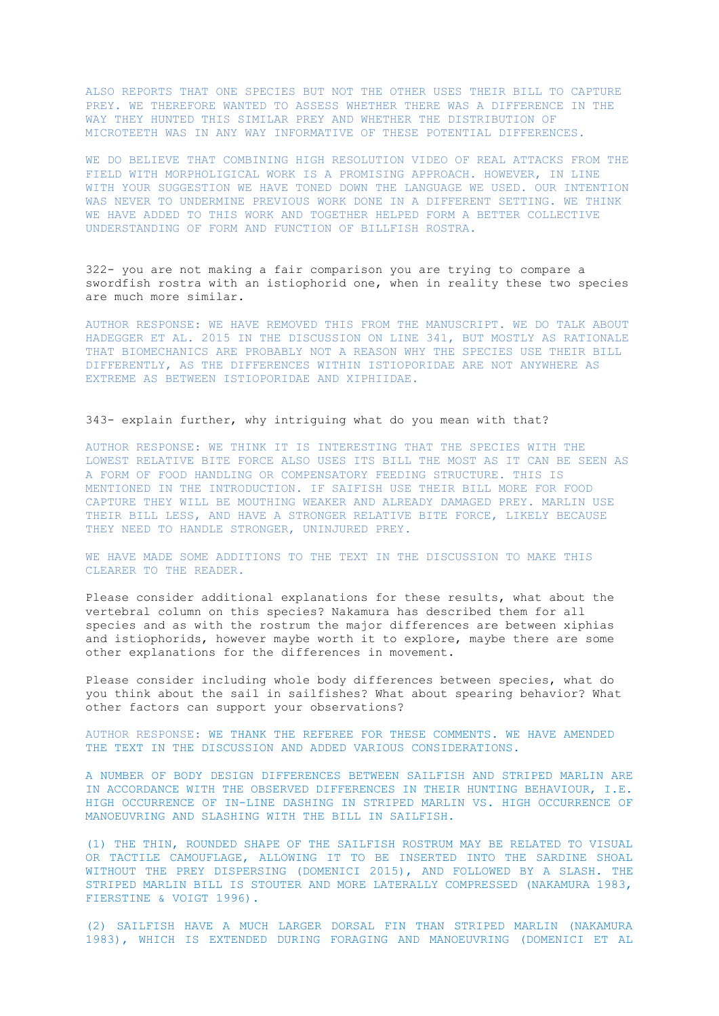ALSO REPORTS THAT ONE SPECIES BUT NOT THE OTHER USES THEIR BILL TO CAPTURE PREY. WE THEREFORE WANTED TO ASSESS WHETHER THERE WAS A DIFFERENCE IN THE WAY THEY HUNTED THIS SIMILAR PREY AND WHETHER THE DISTRIBUTION OF MICROTEETH WAS IN ANY WAY INFORMATIVE OF THESE POTENTIAL DIFFERENCES.

WE DO BELIEVE THAT COMBINING HIGH RESOLUTION VIDEO OF REAL ATTACKS FROM THE FIELD WITH MORPHOLIGICAL WORK IS A PROMISING APPROACH. HOWEVER, IN LINE WITH YOUR SUGGESTION WE HAVE TONED DOWN THE LANGUAGE WE USED. OUR INTENTION WAS NEVER TO UNDERMINE PREVIOUS WORK DONE IN A DIFFERENT SETTING. WE THINK WE HAVE ADDED TO THIS WORK AND TOGETHER HELPED FORM A BETTER COLLECTIVE UNDERSTANDING OF FORM AND FUNCTION OF BILLFISH ROSTRA.

322- you are not making a fair comparison you are trying to compare a swordfish rostra with an istiophorid one, when in reality these two species are much more similar.

AUTHOR RESPONSE: WE HAVE REMOVED THIS FROM THE MANUSCRIPT. WE DO TALK ABOUT HADEGGER ET AL. 2015 IN THE DISCUSSION ON LINE 341, BUT MOSTLY AS RATIONALE THAT BIOMECHANICS ARE PROBABLY NOT A REASON WHY THE SPECIES USE THEIR BILL DIFFERENTLY, AS THE DIFFERENCES WITHIN ISTIOPORIDAE ARE NOT ANYWHERE AS EXTREME AS BETWEEN ISTIOPORIDAE AND XIPHIIDAE.

#### 343- explain further, why intriguing what do you mean with that?

AUTHOR RESPONSE: WE THINK IT IS INTERESTING THAT THE SPECIES WITH THE LOWEST RELATIVE BITE FORCE ALSO USES ITS BILL THE MOST AS IT CAN BE SEEN AS A FORM OF FOOD HANDLING OR COMPENSATORY FEEDING STRUCTURE. THIS IS MENTIONED IN THE INTRODUCTION. IF SAIFISH USE THEIR BILL MORE FOR FOOD CAPTURE THEY WILL BE MOUTHING WEAKER AND ALREADY DAMAGED PREY. MARLIN USE THEIR BILL LESS, AND HAVE A STRONGER RELATIVE BITE FORCE, LIKELY BECAUSE THEY NEED TO HANDLE STRONGER, UNINJURED PREY.

WE HAVE MADE SOME ADDITIONS TO THE TEXT IN THE DISCUSSION TO MAKE THIS CLEARER TO THE READER.

Please consider additional explanations for these results, what about the vertebral column on this species? Nakamura has described them for all species and as with the rostrum the major differences are between xiphias and istiophorids, however maybe worth it to explore, maybe there are some other explanations for the differences in movement.

Please consider including whole body differences between species, what do you think about the sail in sailfishes? What about spearing behavior? What other factors can support your observations?

AUTHOR RESPONSE: WE THANK THE REFEREE FOR THESE COMMENTS. WE HAVE AMENDED THE TEXT IN THE DISCUSSION AND ADDED VARIOUS CONSIDERATIONS.

A NUMBER OF BODY DESIGN DIFFERENCES BETWEEN SAILFISH AND STRIPED MARLIN ARE IN ACCORDANCE WITH THE OBSERVED DIFFERENCES IN THEIR HUNTING BEHAVIOUR, I.E. HIGH OCCURRENCE OF IN-LINE DASHING IN STRIPED MARLIN VS. HIGH OCCURRENCE OF MANOEUVRING AND SLASHING WITH THE BILL IN SAILFISH.

(1) THE THIN, ROUNDED SHAPE OF THE SAILFISH ROSTRUM MAY BE RELATED TO VISUAL OR TACTILE CAMOUFLAGE, ALLOWING IT TO BE INSERTED INTO THE SARDINE SHOAL WITHOUT THE PREY DISPERSING (DOMENICI 2015), AND FOLLOWED BY A SLASH. THE STRIPED MARLIN BILL IS STOUTER AND MORE LATERALLY COMPRESSED (NAKAMURA 1983, FIERSTINE & VOIGT 1996).

(2) SAILFISH HAVE A MUCH LARGER DORSAL FIN THAN STRIPED MARLIN (NAKAMURA 1983), WHICH IS EXTENDED DURING FORAGING AND MANOEUVRING (DOMENICI ET AL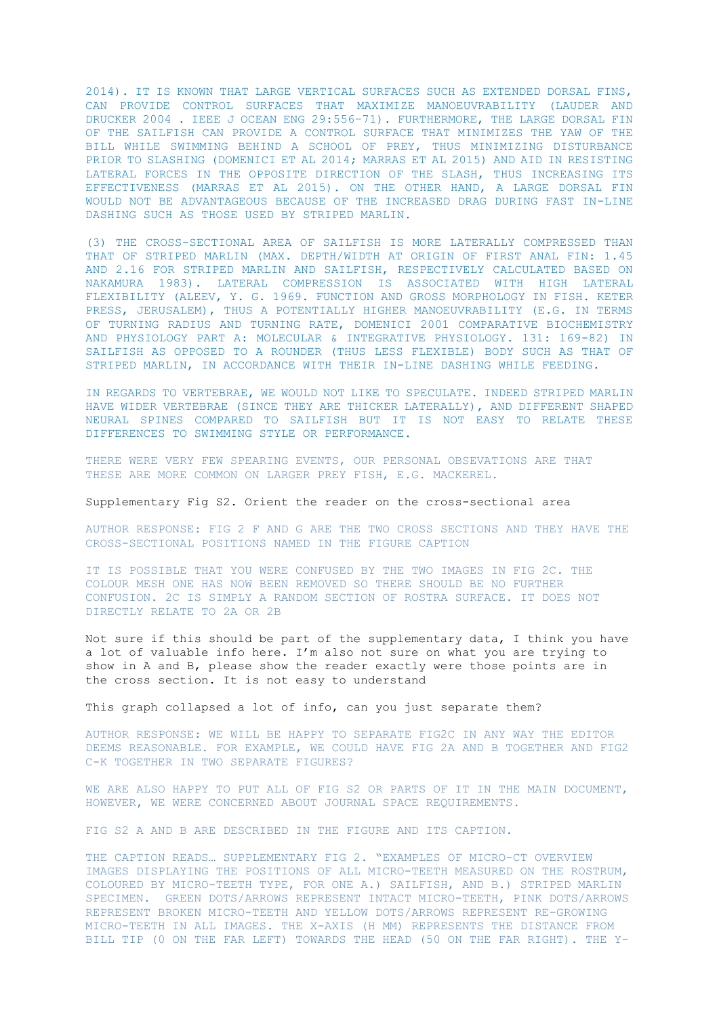2014). IT IS KNOWN THAT LARGE VERTICAL SURFACES SUCH AS EXTENDED DORSAL FINS, CAN PROVIDE CONTROL SURFACES THAT MAXIMIZE MANOEUVRABILITY (LAUDER AND DRUCKER 2004 . IEEE J OCEAN ENG 29:556–71). FURTHERMORE, THE LARGE DORSAL FIN OF THE SAILFISH CAN PROVIDE A CONTROL SURFACE THAT MINIMIZES THE YAW OF THE BILL WHILE SWIMMING BEHIND A SCHOOL OF PREY, THUS MINIMIZING DISTURBANCE PRIOR TO SLASHING (DOMENICI ET AL 2014; MARRAS ET AL 2015) AND AID IN RESISTING LATERAL FORCES IN THE OPPOSITE DIRECTION OF THE SLASH, THUS INCREASING ITS EFFECTIVENESS (MARRAS ET AL 2015). ON THE OTHER HAND, A LARGE DORSAL FIN WOULD NOT BE ADVANTAGEOUS BECAUSE OF THE INCREASED DRAG DURING FAST IN-LINE DASHING SUCH AS THOSE USED BY STRIPED MARLIN.

(3) THE CROSS-SECTIONAL AREA OF SAILFISH IS MORE LATERALLY COMPRESSED THAN THAT OF STRIPED MARLIN (MAX. DEPTH/WIDTH AT ORIGIN OF FIRST ANAL FIN: 1.45 AND 2.16 FOR STRIPED MARLIN AND SAILFISH, RESPECTIVELY CALCULATED BASED ON NAKAMURA 1983). LATERAL COMPRESSION IS ASSOCIATED WITH HIGH LATERAL FLEXIBILITY (ALEEV, Y. G. 1969. FUNCTION AND GROSS MORPHOLOGY IN FISH. KETER PRESS, JERUSALEM), THUS A POTENTIALLY HIGHER MANOEUVRABILITY (E.G. IN TERMS OF TURNING RADIUS AND TURNING RATE, DOMENICI 2001 COMPARATIVE BIOCHEMISTRY AND PHYSIOLOGY PART A: MOLECULAR & INTEGRATIVE PHYSIOLOGY. 131: 169-82) IN SAILFISH AS OPPOSED TO A ROUNDER (THUS LESS FLEXIBLE) BODY SUCH AS THAT OF STRIPED MARLIN, IN ACCORDANCE WITH THEIR IN-LINE DASHING WHILE FEEDING.

IN REGARDS TO VERTEBRAE, WE WOULD NOT LIKE TO SPECULATE. INDEED STRIPED MARLIN HAVE WIDER VERTEBRAE (SINCE THEY ARE THICKER LATERALLY), AND DIFFERENT SHAPED NEURAL SPINES COMPARED TO SAILFISH BUT IT IS NOT EASY TO RELATE THESE DIFFERENCES TO SWIMMING STYLE OR PERFORMANCE.

THERE WERE VERY FEW SPEARING EVENTS, OUR PERSONAL OBSEVATIONS ARE THAT THESE ARE MORE COMMON ON LARGER PREY FISH, E.G. MACKEREL.

Supplementary Fig S2. Orient the reader on the cross-sectional area

AUTHOR RESPONSE: FIG 2 F AND G ARE THE TWO CROSS SECTIONS AND THEY HAVE THE CROSS-SECTIONAL POSITIONS NAMED IN THE FIGURE CAPTION

IT IS POSSIBLE THAT YOU WERE CONFUSED BY THE TWO IMAGES IN FIG 2C. THE COLOUR MESH ONE HAS NOW BEEN REMOVED SO THERE SHOULD BE NO FURTHER CONFUSION. 2C IS SIMPLY A RANDOM SECTION OF ROSTRA SURFACE. IT DOES NOT DIRECTLY RELATE TO 2A OR 2B

Not sure if this should be part of the supplementary data, I think you have a lot of valuable info here. I'm also not sure on what you are trying to show in A and B, please show the reader exactly were those points are in the cross section. It is not easy to understand

This graph collapsed a lot of info, can you just separate them?

AUTHOR RESPONSE: WE WILL BE HAPPY TO SEPARATE FIG2C IN ANY WAY THE EDITOR DEEMS REASONABLE. FOR EXAMPLE, WE COULD HAVE FIG 2A AND B TOGETHER AND FIG2 C-K TOGETHER IN TWO SEPARATE FIGURES?

WE ARE ALSO HAPPY TO PUT ALL OF FIG S2 OR PARTS OF IT IN THE MAIN DOCUMENT, HOWEVER, WE WERE CONCERNED ABOUT JOURNAL SPACE REQUIREMENTS.

FIG S2 A AND B ARE DESCRIBED IN THE FIGURE AND ITS CAPTION.

THE CAPTION READS… SUPPLEMENTARY FIG 2. "EXAMPLES OF MICRO-CT OVERVIEW IMAGES DISPLAYING THE POSITIONS OF ALL MICRO-TEETH MEASURED ON THE ROSTRUM, COLOURED BY MICRO-TEETH TYPE, FOR ONE A.) SAILFISH, AND B.) STRIPED MARLIN SPECIMEN. GREEN DOTS/ARROWS REPRESENT INTACT MICRO-TEETH, PINK DOTS/ARROWS REPRESENT BROKEN MICRO-TEETH AND YELLOW DOTS/ARROWS REPRESENT RE-GROWING MICRO-TEETH IN ALL IMAGES. THE X-AXIS (H MM) REPRESENTS THE DISTANCE FROM BILL TIP (0 ON THE FAR LEFT) TOWARDS THE HEAD (50 ON THE FAR RIGHT). THE Y-